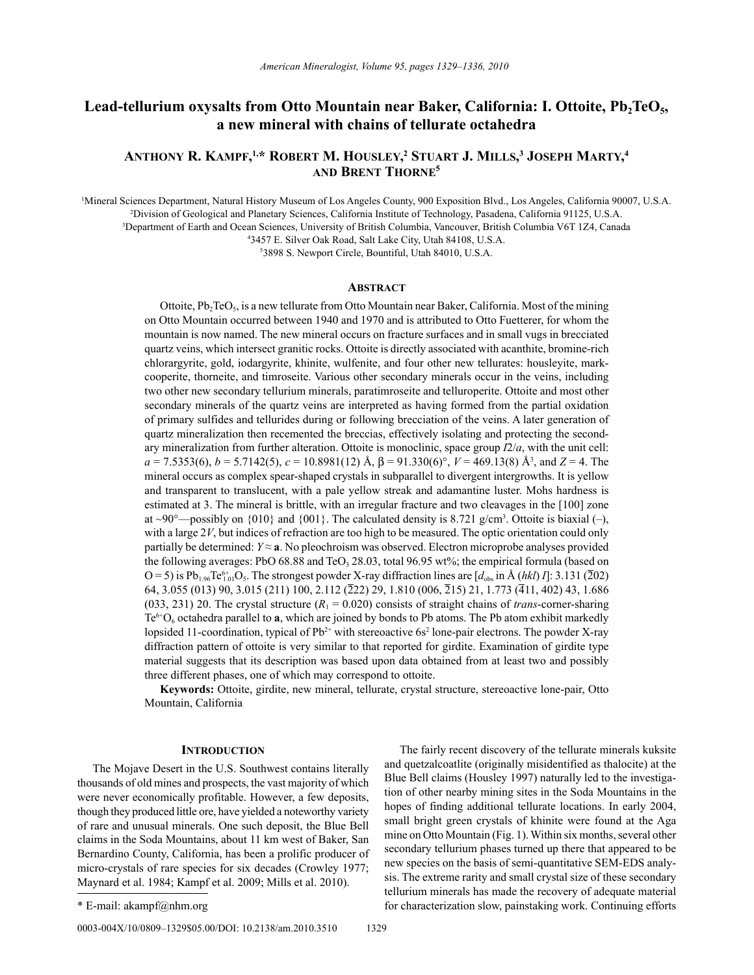# Lead-tellurium oxysalts from Otto Mountain near Baker, California: I. Ottoite, Pb<sub>2</sub>TeO<sub>5</sub>, **a new mineral with chains of tellurate octahedra**

## **Anthony R. KAmpf, 1,\* RobeRt m. housley, <sup>2</sup> stuARt J. mills, 3 Joseph mARty, 4 And bRent thoRne5**

 Mineral Sciences Department, Natural History Museum of Los Angeles County, 900 Exposition Blvd., Los Angeles, California 90007, U.S.A. Division of Geological and Planetary Sciences, California Institute of Technology, Pasadena, California 91125, U.S.A. Department of Earth and Ocean Sciences, University of British Columbia, Vancouver, British Columbia V6T 1Z4, Canada 3457 E. Silver Oak Road, Salt Lake City, Utah 84108, U.S.A.

5 3898 S. Newport Circle, Bountiful, Utah 84010, U.S.A.

## **AbstRAct**

Ottoite,  $Pb_2TeO_5$ , is a new tellurate from Otto Mountain near Baker, California. Most of the mining on Otto Mountain occurred between 1940 and 1970 and is attributed to Otto Fuetterer, for whom the mountain is now named. The new mineral occurs on fracture surfaces and in small vugs in brecciated quartz veins, which intersect granitic rocks. Ottoite is directly associated with acanthite, bromine-rich chlorargyrite, gold, iodargyrite, khinite, wulfenite, and four other new tellurates: housleyite, markcooperite, thorneite, and timroseite. Various other secondary minerals occur in the veins, including two other new secondary tellurium minerals, paratimroseite and telluroperite. Ottoite and most other secondary minerals of the quartz veins are interpreted as having formed from the partial oxidation of primary sulfides and tellurides during or following brecciation of the veins. A later generation of quartz mineralization then recemented the breccias, effectively isolating and protecting the secondary mineralization from further alteration. Ottoite is monoclinic, space group *I*2/*a*, with the unit cell: *a* = 7.5353(6), *b* = 5.7142(5), *c* = 10.8981(12) Å, β = 91.330(6)°, *V* = 469.13(8) Å3 , and *Z* = 4. The mineral occurs as complex spear-shaped crystals in subparallel to divergent intergrowths. It is yellow and transparent to translucent, with a pale yellow streak and adamantine luster. Mohs hardness is estimated at 3. The mineral is brittle, with an irregular fracture and two cleavages in the [100] zone at ~90°—possibly on  $\{010\}$  and  $\{001\}$ . The calculated density is 8.721 g/cm<sup>3</sup>. Ottoite is biaxial (-), with a large 2*V*, but indices of refraction are too high to be measured. The optic orientation could only partially be determined:  $Y \approx a$ . No pleochroism was observed. Electron microprobe analyses provided the following averages: PbO 68.88 and TeO<sub>3</sub> 28.03, total 96.95 wt%; the empirical formula (based on  $O = 5$ ) is Pb<sub>1.96</sub>Te<sup>6+</sup><sub>01</sub>O<sub>5</sub>. The strongest powder X-ray diffraction lines are [ $d_{obs}$  in Å (*hkl*) *I*]: 3.131 (202) 64, 3.055 (013) 90, 3.015 (211) 100, 2.112 (222) 29, 1.810 (006, 215) 21, 1.773 (411, 402) 43, 1.686 (033, 231) 20. The crystal structure  $(R_1 = 0.020)$  consists of straight chains of *trans*-corner-sharing Te $6+O_6$  octahedra parallel to **a**, which are joined by bonds to Pb atoms. The Pb atom exhibit markedly lopsided 11-coordination, typical of  $Pb^{2+}$  with stereoactive 6s<sup>2</sup> lone-pair electrons. The powder X-ray diffraction pattern of ottoite is very similar to that reported for girdite. Examination of girdite type material suggests that its description was based upon data obtained from at least two and possibly three different phases, one of which may correspond to ottoite.

**Keywords:** Ottoite, girdite, new mineral, tellurate, crystal structure, stereoactive lone-pair, Otto Mountain, California

## **INTRODUCTION**

The Mojave Desert in the U.S. Southwest contains literally thousands of old mines and prospects, the vast majority of which were never economically profitable. However, a few deposits, though they produced little ore, have yielded a noteworthy variety of rare and unusual minerals. One such deposit, the Blue Bell claims in the Soda Mountains, about 11 km west of Baker, San Bernardino County, California, has been a prolific producer of micro-crystals of rare species for six decades (Crowley 1977; Maynard et al. 1984; Kampf et al. 2009; Mills et al. 2010).

The fairly recent discovery of the tellurate minerals kuksite and quetzalcoatlite (originally misidentified as thalocite) at the Blue Bell claims (Housley 1997) naturally led to the investigation of other nearby mining sites in the Soda Mountains in the hopes of finding additional tellurate locations. In early 2004, small bright green crystals of khinite were found at the Aga mine on Otto Mountain (Fig. 1). Within six months, several other secondary tellurium phases turned up there that appeared to be new species on the basis of semi-quantitative SEM-EDS analysis. The extreme rarity and small crystal size of these secondary tellurium minerals has made the recovery of adequate material \* E-mail: akampf@nhm.org for characterization slow, painstaking work. Continuing efforts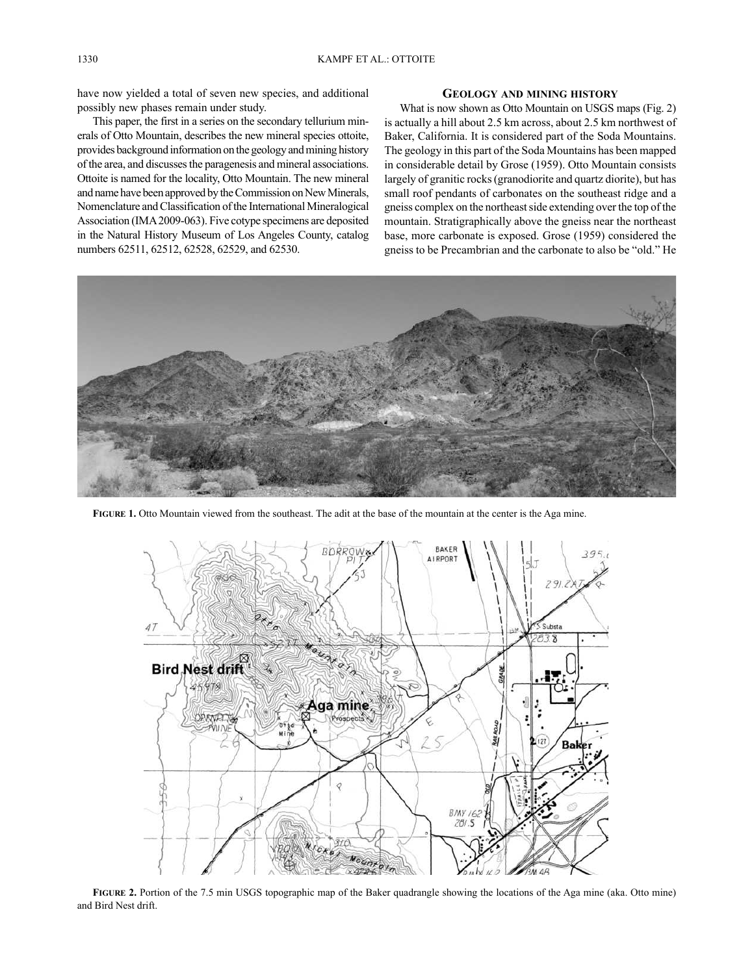have now yielded a total of seven new species, and additional possibly new phases remain under study.

This paper, the first in a series on the secondary tellurium minerals of Otto Mountain, describes the new mineral species ottoite, provides background information on the geology and mining history of the area, and discusses the paragenesis and mineral associations. Ottoite is named for the locality, Otto Mountain. The new mineral and name have been approved by the Commission on New Minerals, Nomenclature and Classification of the International Mineralogical Association (IMA 2009-063). Five cotype specimens are deposited in the Natural History Museum of Los Angeles County, catalog numbers 62511, 62512, 62528, 62529, and 62530.

## **GeoloGy And mininG histoRy**

What is now shown as Otto Mountain on USGS maps (Fig. 2) is actually a hill about 2.5 km across, about 2.5 km northwest of Baker, California. It is considered part of the Soda Mountains. The geology in this part of the Soda Mountains has been mapped in considerable detail by Grose (1959). Otto Mountain consists largely of granitic rocks (granodiorite and quartz diorite), but has small roof pendants of carbonates on the southeast ridge and a gneiss complex on the northeast side extending over the top of the mountain. Stratigraphically above the gneiss near the northeast base, more carbonate is exposed. Grose (1959) considered the gneiss to be Precambrian and the carbonate to also be "old." He



**fiGuRe 1.** Otto Mountain viewed from the southeast. The adit at the base of the mountain at the center is the Aga mine.



**FIGURE** 2. Portion of the 7.5 min USGS topographic map of the Baker quadrangle showing the locations of the Aga mine (aka. Otto mine) and Bird Nest drift.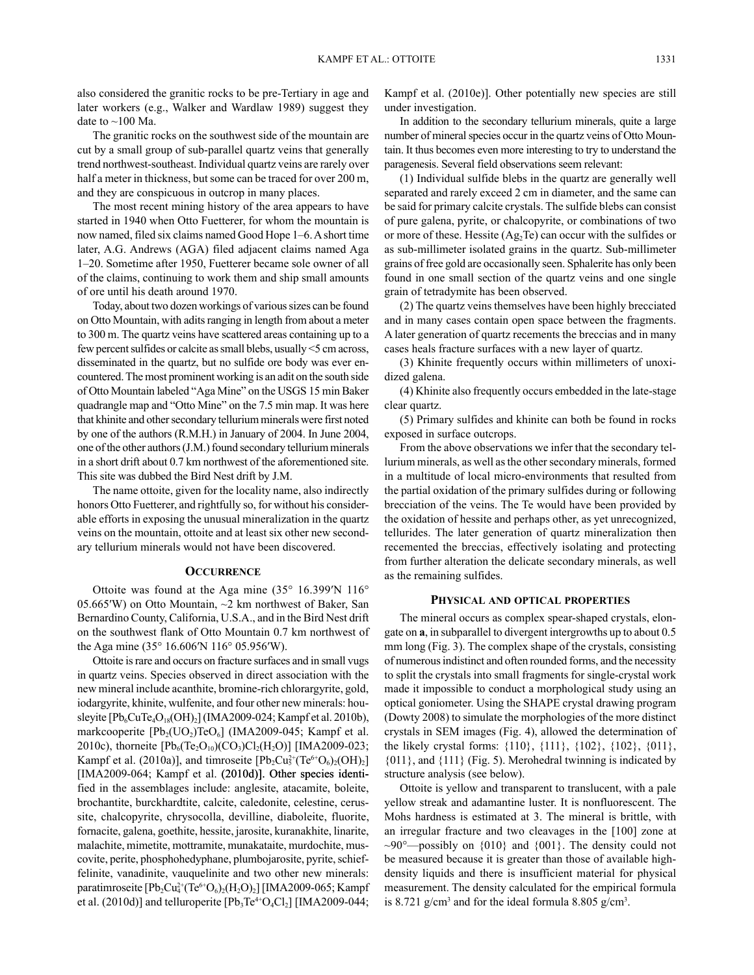also considered the granitic rocks to be pre-Tertiary in age and later workers (e.g., Walker and Wardlaw 1989) suggest they date to  $\sim$ 100 Ma.

The granitic rocks on the southwest side of the mountain are cut by a small group of sub-parallel quartz veins that generally trend northwest-southeast. Individual quartz veins are rarely over half a meter in thickness, but some can be traced for over 200 m, and they are conspicuous in outcrop in many places.

The most recent mining history of the area appears to have started in 1940 when Otto Fuetterer, for whom the mountain is now named, filed six claims named Good Hope 1–6. A short time later, A.G. Andrews (AGA) filed adjacent claims named Aga 1–20. Sometime after 1950, Fuetterer became sole owner of all of the claims, continuing to work them and ship small amounts of ore until his death around 1970.

Today, about two dozen workings of various sizes can be found on Otto Mountain, with adits ranging in length from about a meter to 300 m. The quartz veins have scattered areas containing up to a few percent sulfides or calcite as small blebs, usually <5 cm across, disseminated in the quartz, but no sulfide ore body was ever encountered. The most prominent working is an adit on the south side of Otto Mountain labeled "Aga Mine" on the USGS 15 min Baker quadrangle map and "Otto Mine" on the 7.5 min map. It was here that khinite and other secondary tellurium minerals were first noted by one of the authors (R.M.H.) in January of 2004. In June 2004, one of the other authors (J.M.) found secondary tellurium minerals in a short drift about 0.7 km northwest of the aforementioned site. This site was dubbed the Bird Nest drift by J.M.

The name ottoite, given for the locality name, also indirectly honors Otto Fuetterer, and rightfully so, for without his considerable efforts in exposing the unusual mineralization in the quartz veins on the mountain, ottoite and at least six other new secondary tellurium minerals would not have been discovered.

#### **OCCURRENCE**

Ottoite was found at the Aga mine (35° 16.399′N 116° 05.665′W) on Otto Mountain, ~2 km northwest of Baker, San Bernardino County, California, U.S.A., and in the Bird Nest drift on the southwest flank of Otto Mountain 0.7 km northwest of the Aga mine (35° 16.606′N 116° 05.956′W).

Ottoite is rare and occurs on fracture surfaces and in small vugs in quartz veins. Species observed in direct association with the new mineral include acanthite, bromine-rich chlorargyrite, gold, iodargyrite, khinite, wulfenite, and four other new minerals: housleyite  $[Pb_6CuTe_4O_{18}(OH)_2]$  (IMA2009-024; Kampf et al. 2010b), markcooperite  $[Pb_2( UO_2)TeO_6]$  (IMA2009-045; Kampf et al. 2010c), thorneite  $[Pb_6(Te_2O_{10})(CO_3)Cl_2(H_2O)]$  [IMA2009-023; Kampf et al. (2010a)], and timroseite  $[Pb_2Cu_5^{2+}(Te^{6+}O_6)_2(OH)_2]$ [IMA2009-064; Kampf et al. (2010d)]. Other species identified in the assemblages include: anglesite, atacamite, boleite, brochantite, burckhardtite, calcite, caledonite, celestine, cerussite, chalcopyrite, chrysocolla, devilline, diaboleite, fluorite, fornacite, galena, goethite, hessite, jarosite, kuranakhite, linarite, malachite, mimetite, mottramite, munakataite, murdochite, muscovite, perite, phosphohedyphane, plumbojarosite, pyrite, schieffelinite, vanadinite, vauquelinite and two other new minerals: paratimroseite  $[Pb_2Cu_4^{2+}(Te^{6+}O_6)_2(H_2O)_2]$  [IMA2009-065; Kampf et al. (2010d)] and telluroperite  $[Pb_3Te^{4+}O_4Cl_2]$  [IMA2009-044;

Kampf et al. (2010e)]. Other potentially new species are still under investigation.

In addition to the secondary tellurium minerals, quite a large number of mineral species occur in the quartz veins of Otto Mountain. It thus becomes even more interesting to try to understand the paragenesis. Several field observations seem relevant:

(1) Individual sulfide blebs in the quartz are generally well separated and rarely exceed 2 cm in diameter, and the same can be said for primary calcite crystals. The sulfide blebs can consist of pure galena, pyrite, or chalcopyrite, or combinations of two or more of these. Hessite (Ag2Te) can occur with the sulfides or as sub-millimeter isolated grains in the quartz. Sub-millimeter grains of free gold are occasionally seen. Sphalerite has only been found in one small section of the quartz veins and one single grain of tetradymite has been observed.

(2) The quartz veins themselves have been highly brecciated and in many cases contain open space between the fragments. A later generation of quartz recements the breccias and in many cases heals fracture surfaces with a new layer of quartz.

(3) Khinite frequently occurs within millimeters of unoxidized galena.

(4) Khinite also frequently occurs embedded in the late-stage clear quartz.

(5) Primary sulfides and khinite can both be found in rocks exposed in surface outcrops.

From the above observations we infer that the secondary tellurium minerals, as well as the other secondary minerals, formed in a multitude of local micro-environments that resulted from the partial oxidation of the primary sulfides during or following brecciation of the veins. The Te would have been provided by the oxidation of hessite and perhaps other, as yet unrecognized, tellurides. The later generation of quartz mineralization then recemented the breccias, effectively isolating and protecting from further alteration the delicate secondary minerals, as well as the remaining sulfides.

#### **physicAl And opticAl pRopeRties**

The mineral occurs as complex spear-shaped crystals, elongate on **a**, in subparallel to divergent intergrowths up to about 0.5 mm long (Fig. 3). The complex shape of the crystals, consisting of numerous indistinct and often rounded forms, and the necessity to split the crystals into small fragments for single-crystal work made it impossible to conduct a morphological study using an optical goniometer. Using the SHAPE crystal drawing program (Dowty 2008) to simulate the morphologies of the more distinct crystals in SEM images (Fig. 4), allowed the determination of the likely crystal forms: {110}, {111}, {102}, {102}, {011},  ${011}$ , and  ${111}$  (Fig. 5). Merohedral twinning is indicated by structure analysis (see below).

Ottoite is yellow and transparent to translucent, with a pale yellow streak and adamantine luster. It is nonfluorescent. The Mohs hardness is estimated at 3. The mineral is brittle, with an irregular fracture and two cleavages in the [100] zone at  $\sim 90^{\circ}$  possibly on {010} and {001}. The density could not be measured because it is greater than those of available highdensity liquids and there is insufficient material for physical measurement. The density calculated for the empirical formula is 8.721 g/cm<sup>3</sup> and for the ideal formula 8.805 g/cm<sup>3</sup>.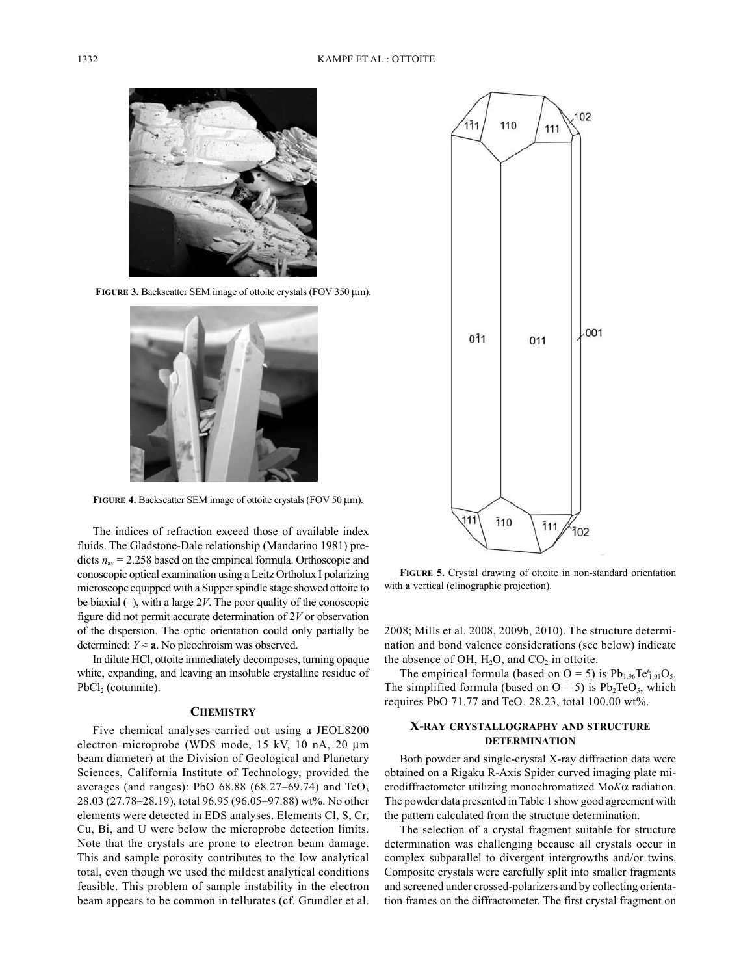

**fiGuRe 3.** Backscatter SEM image of ottoite crystals (FOV 350 µm).



**fiGuRe 4.** Backscatter SEM image of ottoite crystals (FOV 50 µm).

The indices of refraction exceed those of available index fluids. The Gladstone-Dale relationship (Mandarino 1981) predicts  $n_{av}$  = 2.258 based on the empirical formula. Orthoscopic and conoscopic optical examination using a Leitz Ortholux I polarizing microscope equipped with a Supper spindle stage showed ottoite to be biaxial (–), with a large 2*V*. The poor quality of the conoscopic figure did not permit accurate determination of 2*V* or observation of the dispersion. The optic orientation could only partially be determined:  $Y \approx a$ . No pleochroism was observed.

In dilute HCl, ottoite immediately decomposes, turning opaque white, expanding, and leaving an insoluble crystalline residue of  $PbCl<sub>2</sub>$  (cotunnite).

#### **chemistRy**

Five chemical analyses carried out using a JEOL8200 electron microprobe (WDS mode, 15 kV, 10 nA, 20 µm beam diameter) at the Division of Geological and Planetary Sciences, California Institute of Technology, provided the averages (and ranges): PbO  $68.88$  ( $68.27-69.74$ ) and TeO<sub>3</sub> 28.03 (27.78–28.19), total 96.95 (96.05–97.88) wt%. No other elements were detected in EDS analyses. Elements Cl, S, Cr, Cu, Bi, and U were below the microprobe detection limits. Note that the crystals are prone to electron beam damage. This and sample porosity contributes to the low analytical total, even though we used the mildest analytical conditions feasible. This problem of sample instability in the electron beam appears to be common in tellurates (cf. Grundler et al.



**fiGuRe 5.** Crystal drawing of ottoite in non-standard orientation with **a** vertical (clinographic projection).

2008; Mills et al. 2008, 2009b, 2010). The structure determination and bond valence considerations (see below) indicate the absence of OH,  $H<sub>2</sub>O$ , and  $CO<sub>2</sub>$  in ottoite.

The empirical formula (based on  $O = 5$ ) is  $Pb_{1.96}Te_{1.01}^{6+}O_5$ . The simplified formula (based on  $O = 5$ ) is  $Pb_2TeO_5$ , which requires PbO 71.77 and TeO<sub>3</sub> 28.23, total 100.00 wt%.

## **X-RAy cRystAlloGRAphy And stRuctuRe deteRminAtion**

Both powder and single-crystal X-ray diffraction data were obtained on a Rigaku R-Axis Spider curved imaging plate microdiffractometer utilizing monochromatized Mo*K*α radiation. The powder data presented in Table 1 show good agreement with the pattern calculated from the structure determination.

The selection of a crystal fragment suitable for structure determination was challenging because all crystals occur in complex subparallel to divergent intergrowths and/or twins. Composite crystals were carefully split into smaller fragments and screened under crossed-polarizers and by collecting orientation frames on the diffractometer. The first crystal fragment on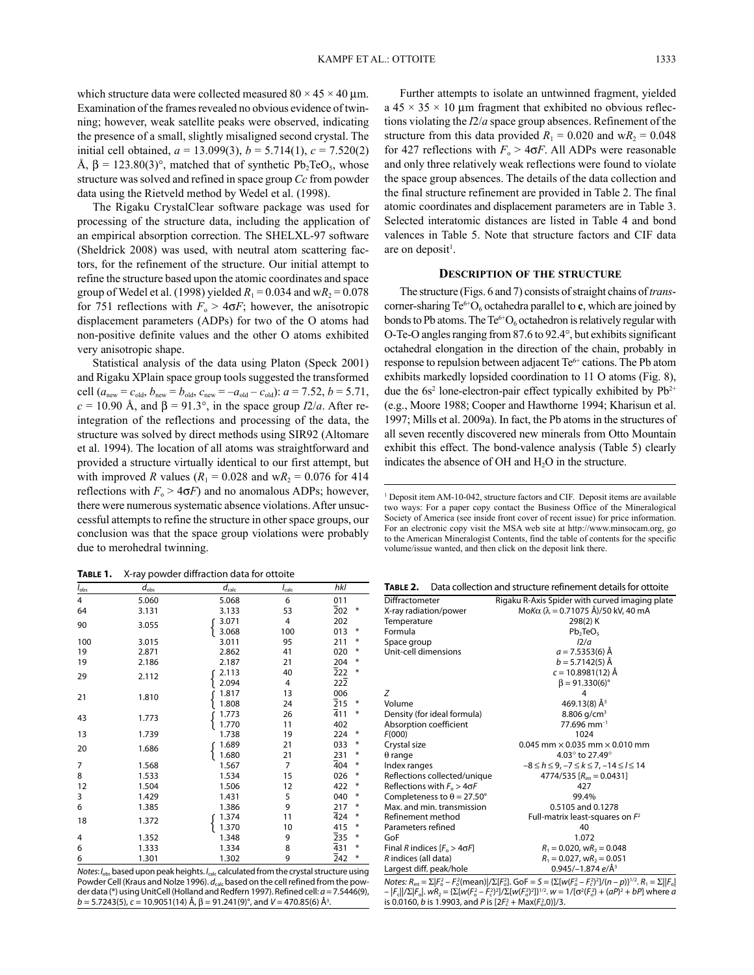which structure data were collected measured  $80 \times 45 \times 40$  µm. Examination of the frames revealed no obvious evidence of twinning; however, weak satellite peaks were observed, indicating the presence of a small, slightly misaligned second crystal. The initial cell obtained,  $a = 13.099(3)$ ,  $b = 5.714(1)$ ,  $c = 7.520(2)$ Å,  $β = 123.80(3)°$ , matched that of synthetic Pb<sub>2</sub>TeO<sub>5</sub>, whose structure was solved and refined in space group *Cc* from powder data using the Rietveld method by Wedel et al. (1998).

The Rigaku CrystalClear software package was used for processing of the structure data, including the application of an empirical absorption correction. The SHELXL-97 software (Sheldrick 2008) was used, with neutral atom scattering factors, for the refinement of the structure. Our initial attempt to refine the structure based upon the atomic coordinates and space group of Wedel et al. (1998) yielded  $R_1 = 0.034$  and  $wR_2 = 0.078$ for 751 reflections with  $F_0 > 4\sigma F$ ; however, the anisotropic displacement parameters (ADPs) for two of the O atoms had non-positive definite values and the other O atoms exhibited very anisotropic shape.

Statistical analysis of the data using Platon (Speck 2001) and Rigaku XPlain space group tools suggested the transformed cell  $(a_{\text{new}} = c_{\text{old}}, b_{\text{new}} = b_{\text{old}}, c_{\text{new}} = -a_{\text{old}} - c_{\text{old}})$ :  $a = 7.52, b = 5.71$ ,  $c = 10.90$  Å, and  $\beta = 91.3^{\circ}$ , in the space group *I2/a*. After reintegration of the reflections and processing of the data, the structure was solved by direct methods using SIR92 (Altomare et al. 1994). The location of all atoms was straightforward and provided a structure virtually identical to our first attempt, but with improved *R* values ( $R_1 = 0.028$  and w $R_2 = 0.076$  for 414 reflections with  $F_{o} > 4\sigma F$ ) and no anomalous ADPs; however, there were numerous systematic absence violations. After unsuccessful attempts to refine the structure in other space groups, our conclusion was that the space group violations were probably due to merohedral twinning.

**Table 1.** X-ray powder diffraction data for ottoite

|                                                                                           | ין נייי          |                   |                |                        |  |
|-------------------------------------------------------------------------------------------|------------------|-------------------|----------------|------------------------|--|
| $I_{\rm obs}$                                                                             | $d_{\text{obs}}$ | $d_{\text{calc}}$ | $I_{calc}$     | hkl                    |  |
| 4                                                                                         | 5.060            | 5.068             | 6              | 011                    |  |
| 64                                                                                        | 3.131            | 3.133             | 53             | $\overline{2}02$<br>₩  |  |
| 90                                                                                        | 3.055            | 3.071             | 4              | 202                    |  |
|                                                                                           |                  | 3.068             | 100            | 013<br>₩               |  |
| 100                                                                                       | 3.015            | 3.011             | 95             | ₩<br>211               |  |
| 19                                                                                        | 2.871            | 2.862             | 41             | ₩<br>020               |  |
| 19                                                                                        | 2.186            | 2.187             | 21             | 204<br>₩               |  |
| 29                                                                                        | 2.112            | 2.113             | 40             | 222<br>₩               |  |
|                                                                                           |                  | 2.094             | 4              | $22\overline{2}$       |  |
| 21                                                                                        | 1.810            | 1.817             | 13             | 006                    |  |
|                                                                                           |                  | 1.808             | 24             | $\overline{2}$ 15<br>₩ |  |
| 43                                                                                        | 1.773            | 1.773             | 26             | 411<br>₩               |  |
|                                                                                           |                  | 1.770             | 11             | 402                    |  |
| 13                                                                                        | 1.739            | 1.738             | 19             | ₩<br>224               |  |
| 20                                                                                        | 1.686            | 1.689             | 21             | ₩<br>033               |  |
|                                                                                           |                  | 1.680             | 21             | ₩<br>231               |  |
| $\overline{7}$                                                                            | 1.568            | 1.567             | $\overline{7}$ | 404<br>₩               |  |
| 8                                                                                         | 1.533            | 1.534             | 15             | ₩<br>026               |  |
| 12                                                                                        | 1.504            | 1.506             | 12             | ₩<br>422               |  |
| 3                                                                                         | 1.429            | 1.431             | 5              | ₩<br>040               |  |
| 6                                                                                         | 1.385            | 1.386             | 9              | ₩<br>217               |  |
| 18                                                                                        | 1.372            | 1.374             | 11             | ₩<br>424               |  |
|                                                                                           |                  | 1.370             | 10             | 415<br>₩               |  |
| 4                                                                                         | 1.352            | 1.348             | 9              | $\overline{2}35$<br>₩  |  |
| 6                                                                                         | 1.333            | 1.334             | 8              | $\overline{4}31$<br>₩  |  |
| 6                                                                                         | 1.301            | 1.302             | 9              | 242<br>₩               |  |
| calculated from the cructal structure using<br>hasod upon poak hojahts. L<br>$M$ otoc $l$ |                  |                   |                |                        |  |

*Notes*: *I*obs based upon peak heights. *I*calc calculated from the crystal structure using Powder Cell (Kraus and Nolze 1996).  $d_{\text{sub}}$  based on the cell refined from the powder data (\*) using UnitCell (Holland and Redfern 1997). Refined cell: *a* = 7.5446(9), *b* = 5.7243(5), *c* = 10.9051(14) Å, β = 91.241(9)°, and *V* = 470.85(6) Å3 .

Further attempts to isolate an untwinned fragment, yielded a  $45 \times 35 \times 10$  µm fragment that exhibited no obvious reflections violating the *I*2/*a* space group absences. Refinement of the structure from this data provided  $R_1 = 0.020$  and  $wR_2 = 0.048$ for 427 reflections with  $F_0 > 4\sigma F$ . All ADPs were reasonable and only three relatively weak reflections were found to violate the space group absences. The details of the data collection and the final structure refinement are provided in Table 2. The final atomic coordinates and displacement parameters are in Table 3. Selected interatomic distances are listed in Table 4 and bond valences in Table 5. Note that structure factors and CIF data are on deposit<sup>1</sup>.

## **descRiption of the stRuctuRe**

The structure (Figs. 6 and 7) consists of straight chains of *trans*corner-sharing  $Te^{6+}O_6$  octahedra parallel to **c**, which are joined by bonds to Pb atoms. The  $Te^{6+}O_6$  octahedron is relatively regular with O-Te-O angles ranging from 87.6 to 92.4°, but exhibits significant octahedral elongation in the direction of the chain, probably in response to repulsion between adjacent Te<sup>6+</sup> cations. The Pb atom exhibits markedly lopsided coordination to 11 O atoms (Fig. 8), due the  $6s<sup>2</sup>$  lone-electron-pair effect typically exhibited by  $Pb<sup>2+</sup>$ (e.g., Moore 1988; Cooper and Hawthorne 1994; Kharisun et al. 1997; Mills et al. 2009a). In fact, the Pb atoms in the structures of all seven recently discovered new minerals from Otto Mountain exhibit this effect. The bond-valence analysis (Table 5) clearly indicates the absence of OH and  $H_2O$  in the structure.

<sup>1</sup> Deposit item AM-10-042, structure factors and CIF. Deposit items are available two ways: For a paper copy contact the Business Office of the Mineralogical Society of America (see inside front cover of recent issue) for price information. For an electronic copy visit the MSA web site at http://www.minsocam.org, go to the American Mineralogist Contents, find the table of contents for the specific volume/issue wanted, and then click on the deposit link there.

**Table 2.** Data collection and structure refinement details for ottoite

| Diffractometer                       | Rigaku R-Axis Spider with curved imaging plate     |
|--------------------------------------|----------------------------------------------------|
| X-ray radiation/power                | $Mofα (λ = 0.71075 Å)/50 kV, 40 mA$                |
| Temperature                          | 298(2) K                                           |
| Formula                              | Pb <sub>2</sub> TeO <sub>5</sub>                   |
| Space group                          | 12/a                                               |
| Unit-cell dimensions                 | $a = 7.5353(6)$ Å                                  |
|                                      | $b = 5.7142(5)$ Å                                  |
|                                      | $c = 10.8981(12)$ Å                                |
|                                      | $\beta = 91.330(6)$ °                              |
| Ζ                                    | 4                                                  |
| Volume                               | 469.13(8) $\AA$ <sup>3</sup>                       |
| Density (for ideal formula)          | 8.806 g/cm <sup>3</sup>                            |
| Absorption coefficient               | $77.696$ mm <sup>-1</sup>                          |
| F(000)                               | 1024                                               |
| Crystal size                         | $0.045$ mm $\times$ 0.035 mm $\times$ 0.010 mm     |
| $\theta$ range                       | 4.03° to 27.49°                                    |
| Index ranges                         | $-8 \le h \le 9, -7 \le k \le 7, -14 \le l \le 14$ |
| Reflections collected/unique         | 4774/535 $[R_{\text{int}} = 0.0431]$               |
| Reflections with $F_0 > 4 \sigma F$  | 427                                                |
| Completeness to $\theta$ = 27.50°    | 99.4%                                              |
| Max, and min, transmission           | 0.5105 and 0.1278                                  |
| Refinement method                    | Full-matrix least-squares on $F^2$                 |
| Parameters refined                   | 40                                                 |
| GoF                                  | 1.072                                              |
| Final R indices $[F_0 > 4 \sigma F]$ | $R_1 = 0.020$ , w $R_2 = 0.048$                    |
| R indices (all data)                 | $R_1 = 0.027$ , w $R_2 = 0.051$                    |
| Largest diff. peak/hole              | 0.945/-1.874 $e/\AA$ <sup>3</sup>                  |

*Notes:*  $R_{\text{int}} = \sum |F_0^2 - F_0^2(\text{mean})| / \sum [F_0^2]$ . GoF =  $S = \{\sum [w(F_0^2 - F_0^2)^2]/(n - p)\}^{1/2}$ .  $R_1 = \sum |F_0|$  $-|F_c||\Sigma|F_o|$ .  $wR_2 = \{\Sigma[w(F_o^2 - F_c^2)^2]/\Sigma[w(F_o^2)^2]\}^{1/2}$ .  $w = 1/[\sigma^2(F_o^2) + (aP)^2 + bP]$  where *a* is 0.0160, *b* is 1.9903, and *P* is  $[2F_c^2 + \text{Max}(F_o^2, 0)]/3$ .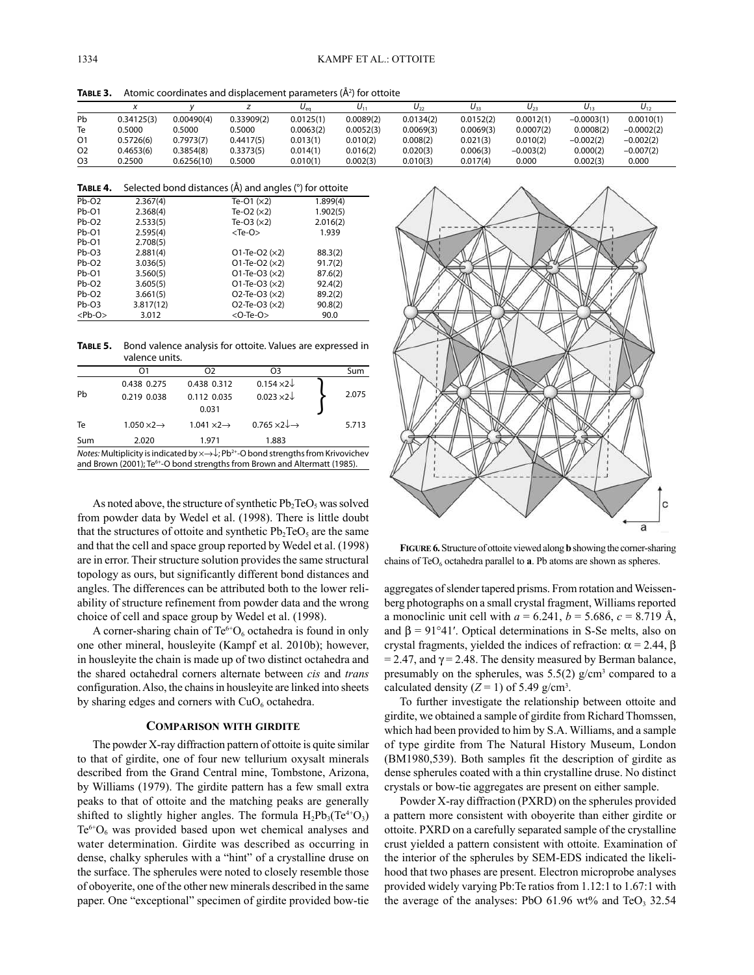**TABLE 3.** Atomic coordinates and displacement parameters (Å<sup>2</sup>) for ottoite

|                |            |            |            | $\mathbf{v}_{\alpha}$ | J۱        | U٠        | U33       | $U_{23}$    | $U_{13}$     | $U_{12}$     |
|----------------|------------|------------|------------|-----------------------|-----------|-----------|-----------|-------------|--------------|--------------|
| Pb             | 0.34125(3) | 0.00490(4) | 0.33909(2) | 0.0125(1)             | 0.0089(2) | 0.0134(2) | 0.0152(2) | 0.0012(1)   | $-0.0003(1)$ | 0.0010(1)    |
| Te             | 0.5000     | 0.5000     | 0.5000     | 0.0063(2)             | 0.0052(3) | 0.0069(3) | 0.0069(3) | 0.0007(2)   | 0.0008(2)    | $-0.0002(2)$ |
| O1             | 0.5726(6)  | 0.7973(7)  | 0.4417(5)  | 0.013(1)              | 0.010(2)  | 0.008(2)  | 0.021(3)  | 0.010(2)    | $-0.002(2)$  | $-0.002(2)$  |
| O <sub>2</sub> | 0.4653(6)  | 0.3854(8)  | 0.3373(5)  | 0.014(1)              | 0.016(2)  | 0.020(3)  | 0.006(3)  | $-0.003(2)$ | 0.000(2)     | $-0.007(2)$  |
| O <sub>3</sub> | 0.2500     | 0.6256(10) | 0.5000     | 0.010(1)              | 0.002(3)  | 0.010(3)  | 0.017(4)  | 0.000       | 0.002(3)     | 0.000        |

| TABLE 4. | Selected bond distances (A) and angles (°) for ottoite |
|----------|--------------------------------------------------------|
|----------|--------------------------------------------------------|

| $Pb-O2$      | 2.367(4)  | Te-O1 $(x2)$              | 1.899(4) |
|--------------|-----------|---------------------------|----------|
| $Pb-O1$      | 2.368(4)  | Te-O2 $(x2)$              | 1.902(5) |
| $Pb-O2$      | 2.533(5)  | Te-O3 $(x2)$              | 2.016(2) |
| $Pb-O1$      | 2.595(4)  | $<$ Te-O $>$              | 1.939    |
| $Pb-O1$      | 2.708(5)  |                           |          |
| $Pb-O3$      | 2.881(4)  | $O1$ -Te-O2 ( $\times$ 2) | 88.3(2)  |
| $Pb-O2$      | 3.036(5)  | $O1$ -Te-O2 ( $\times$ 2) | 91.7(2)  |
| $Pb-O1$      | 3.560(5)  | $O1$ -Te-O3 ( $\times$ 2) | 87.6(2)  |
| $Pb-O2$      | 3.605(5)  | $O1$ -Te-O3 ( $\times$ 2) | 92.4(2)  |
| $Pb-O2$      | 3.661(5)  | $O2$ -Te-O3 ( $\times$ 2) | 89.2(2)  |
| $Pb-O3$      | 3.817(12) | $O2$ -Te-O3 ( $\times$ 2) | 90.8(2)  |
| $<$ Pb-O $>$ | 3.012     | $<$ O-Te-O $>$            | 90.0     |

**Table 5.** Bond valence analysis for ottoite. Values are expressed in valence units.

| "                            |                              |                                         |       |
|------------------------------|------------------------------|-----------------------------------------|-------|
| O1                           | Ο2                           | O3                                      | Sum   |
| 0.438 0.275                  | 0.438 0.312                  | $0.154 \times 2\sqrt{ }$                |       |
| 0.219 0.038                  | 0.112 0.035                  | $0.023 \times 2$                        | 2.075 |
|                              | 0.031                        |                                         |       |
| $1.050 \times 2 \rightarrow$ | $1.041 \times 2 \rightarrow$ | $0.765 \times 2 \downarrow \rightarrow$ | 5.713 |
| 2.020                        | 1.971                        | 1.883                                   |       |
|                              |                              |                                         |       |

*Notes:* Multiplicity is indicated by ×→↓; Pb<sup>2+</sup>-O bond strengths from Krivovichev and Brown (2001); Te<sup>6+</sup>-O bond strengths from Brown and Altermatt (1985).

As noted above, the structure of synthetic  $Pb_2TeO_5$  was solved from powder data by Wedel et al. (1998). There is little doubt that the structures of ottoite and synthetic  $Pb_2TeO_5$  are the same and that the cell and space group reported by Wedel et al. (1998) are in error. Their structure solution provides the same structural topology as ours, but significantly different bond distances and angles. The differences can be attributed both to the lower reliability of structure refinement from powder data and the wrong choice of cell and space group by Wedel et al. (1998).

A corner-sharing chain of  $Te^{6+}O_6$  octahedra is found in only one other mineral, housleyite (Kampf et al. 2010b); however, in housleyite the chain is made up of two distinct octahedra and the shared octahedral corners alternate between *cis* and *trans* configuration. Also, the chains in housleyite are linked into sheets by sharing edges and corners with  $CuO<sub>6</sub>$  octahedra.

#### **compARison with GiRdite**

The powder X-ray diffraction pattern of ottoite is quite similar to that of girdite, one of four new tellurium oxysalt minerals described from the Grand Central mine, Tombstone, Arizona, by Williams (1979). The girdite pattern has a few small extra peaks to that of ottoite and the matching peaks are generally shifted to slightly higher angles. The formula  $H_2Pb_3(Te^{4+}O_3)$  $Te^{6+}O_6$  was provided based upon wet chemical analyses and water determination. Girdite was described as occurring in dense, chalky spherules with a "hint" of a crystalline druse on the surface. The spherules were noted to closely resemble those of oboyerite, one of the other new minerals described in the same paper. One "exceptional" specimen of girdite provided bow-tie



**fiGuRe 6.** Structure of ottoite viewed along **b** showing the corner-sharing chains of TeO<sub>6</sub> octahedra parallel to **a**. Pb atoms are shown as spheres.

aggregates of slender tapered prisms. From rotation and Weissenberg photographs on a small crystal fragment, Williams reported a monoclinic unit cell with  $a = 6.241$ ,  $b = 5.686$ ,  $c = 8.719$  Å, and  $\beta = 91^{\circ}41'$ . Optical determinations in S-Se melts, also on crystal fragments, yielded the indices of refraction:  $\alpha$  = 2.44,  $\beta$  $= 2.47$ , and  $\gamma = 2.48$ . The density measured by Berman balance, presumably on the spherules, was  $5.5(2)$  g/cm<sup>3</sup> compared to a calculated density  $(Z = 1)$  of 5.49 g/cm<sup>3</sup>.

To further investigate the relationship between ottoite and girdite, we obtained a sample of girdite from Richard Thomssen, which had been provided to him by S.A. Williams, and a sample of type girdite from The Natural History Museum, London (BM1980,539). Both samples fit the description of girdite as dense spherules coated with a thin crystalline druse. No distinct crystals or bow-tie aggregates are present on either sample.

Powder X-ray diffraction (PXRD) on the spherules provided a pattern more consistent with oboyerite than either girdite or ottoite. PXRD on a carefully separated sample of the crystalline crust yielded a pattern consistent with ottoite. Examination of the interior of the spherules by SEM-EDS indicated the likelihood that two phases are present. Electron microprobe analyses provided widely varying Pb:Te ratios from 1.12:1 to 1.67:1 with the average of the analyses: PbO  $61.96$  wt% and TeO<sub>3</sub> 32.54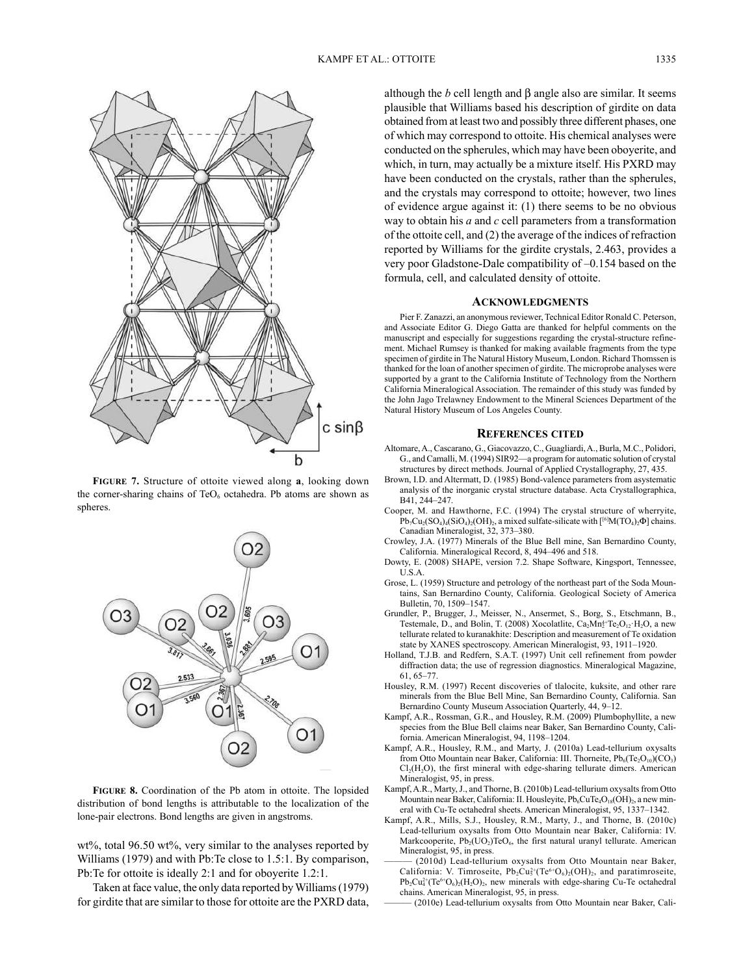

**fiGuRe 7.** Structure of ottoite viewed along **a**, looking down the corner-sharing chains of  $TeO<sub>6</sub>$  octahedra. Pb atoms are shown as spheres.



**fiGuRe 8.** Coordination of the Pb atom in ottoite. The lopsided distribution of bond lengths is attributable to the localization of the lone-pair electrons. Bond lengths are given in angstroms.

wt%, total 96.50 wt%, very similar to the analyses reported by Williams (1979) and with Pb:Te close to 1.5:1. By comparison, Pb:Te for ottoite is ideally 2:1 and for oboyerite 1.2:1.

Taken at face value, the only data reported by Williams (1979) for girdite that are similar to those for ottoite are the PXRD data, although the *b* cell length and β angle also are similar. It seems plausible that Williams based his description of girdite on data obtained from at least two and possibly three different phases, one of which may correspond to ottoite. His chemical analyses were conducted on the spherules, which may have been oboyerite, and which, in turn, may actually be a mixture itself. His PXRD may have been conducted on the crystals, rather than the spherules, and the crystals may correspond to ottoite; however, two lines of evidence argue against it: (1) there seems to be no obvious way to obtain his *a* and *c* cell parameters from a transformation of the ottoite cell, and (2) the average of the indices of refraction reported by Williams for the girdite crystals, 2.463, provides a very poor Gladstone-Dale compatibility of –0.154 based on the formula, cell, and calculated density of ottoite.

#### **AcKnowledGments**

Pier F. Zanazzi, an anonymous reviewer, Technical Editor Ronald C. Peterson, and Associate Editor G. Diego Gatta are thanked for helpful comments on the manuscript and especially for suggestions regarding the crystal-structure refinement. Michael Rumsey is thanked for making available fragments from the type specimen of girdite in The Natural History Museum, London. Richard Thomssen is thanked for the loan of another specimen of girdite. The microprobe analyses were supported by a grant to the California Institute of Technology from the Northern California Mineralogical Association. The remainder of this study was funded by the John Jago Trelawney Endowment to the Mineral Sciences Department of the Natural History Museum of Los Angeles County.

#### **RefeRences cited**

- Altomare, A., Cascarano, G., Giacovazzo, C., Guagliardi, A., Burla, M.C., Polidori, G., and Camalli, M. (1994) SIR92—a program for automatic solution of crystal structures by direct methods. Journal of Applied Crystallography, 27, 435.
- Brown, I.D. and Altermatt, D. (1985) Bond-valence parameters from asystematic analysis of the inorganic crystal structure database. Acta Crystallographica, B41, 244–247.
- Cooper, M. and Hawthorne, F.C. (1994) The crystal structure of wherryite,  $Pb_7Cu_2(SO_4)_4(SiO_4)_2(OH)_2$ , a mixed sulfate-silicate with  $[{}^{[6]}M(TO_4)_2\Phi]$  chains. Canadian Mineralogist, 32, 373–380.
- Crowley, J.A. (1977) Minerals of the Blue Bell mine, San Bernardino County, California. Mineralogical Record, 8, 494–496 and 518.
- Dowty, E. (2008) SHAPE, version 7.2. Shape Software, Kingsport, Tennessee, U.S.A.
- Grose, L. (1959) Structure and petrology of the northeast part of the Soda Mountains, San Bernardino County, California. Geological Society of America Bulletin, 70, 1509–1547.
- Grundler, P., Brugger, J., Meisser, N., Ansermet, S., Borg, S., Etschmann, B., Testemale, D., and Bolin, T. (2008) Xocolatlite,  $Ca<sub>2</sub>Mn<sub>2</sub><sup>4+</sup>Te<sub>2</sub>O<sub>12</sub>·H<sub>2</sub>O$ , a new tellurate related to kuranakhite: Description and measurement of Te oxidation state by XANES spectroscopy. American Mineralogist, 93, 1911–1920.
- Holland, T.J.B. and Redfern, S.A.T. (1997) Unit cell refinement from powder diffraction data; the use of regression diagnostics. Mineralogical Magazine, 61, 65–77.
- Housley, R.M. (1997) Recent discoveries of tlalocite, kuksite, and other rare minerals from the Blue Bell Mine, San Bernardino County, California. San Bernardino County Museum Association Quarterly, 44, 9–12.
- Kampf, A.R., Rossman, G.R., and Housley, R.M. (2009) Plumbophyllite, a new species from the Blue Bell claims near Baker, San Bernardino County, California. American Mineralogist, 94, 1198–1204.
- Kampf, A.R., Housley, R.M., and Marty, J. (2010a) Lead-tellurium oxysalts from Otto Mountain near Baker, California: III. Thorneite,  $Pb_6(Te_2O_{10})(CO_3)$  $Cl<sub>2</sub>(H<sub>2</sub>O)$ , the first mineral with edge-sharing tellurate dimers. American Mineralogist, 95, in press.
- Kampf, A.R., Marty, J., and Thorne, B. (2010b) Lead-tellurium oxysalts from Otto Mountain near Baker, California: II. Housleyite, Pb<sub>6</sub>CuTe<sub>4</sub>O<sub>18</sub>(OH)<sub>2</sub>, a new mineral with Cu-Te octahedral sheets. American Mineralogist, 95, 1337–1342.
- Kampf, A.R., Mills, S.J., Housley, R.M., Marty, J., and Thorne, B. (2010c) Lead-tellurium oxysalts from Otto Mountain near Baker, California: IV. Markcooperite,  $Pb_2( UO_2)TeO_6$ , the first natural uranyl tellurate. American Mineralogist, 95, in press.
- (2010d) Lead-tellurium oxysalts from Otto Mountain near Baker, California: V. Timroseite,  $Pb_2Cu_5^{2+}(Te^{6+}O_6)_2(OH)_2$ , and paratimroseite,  $Pb_2Cu_4^{2+}(Te^{6+}O_6)_2(H_2O)_2$ , new minerals with edge-sharing Cu-Te octahedral chains. American Mineralogist, 95, in press.

(2010e) Lead-tellurium oxysalts from Otto Mountain near Baker, Cali-